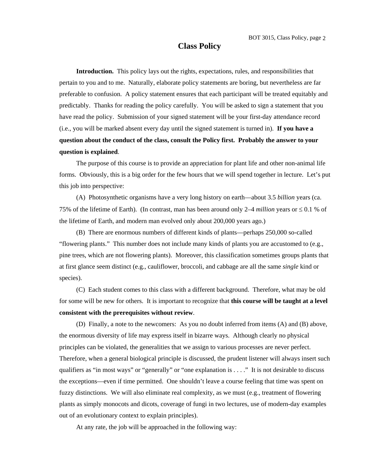## **Class Policy**

**Introduction.** This policy lays out the rights, expectations, rules, and responsibilities that pertain to you and to me. Naturally, elaborate policy statements are boring, but nevertheless are far preferable to confusion. A policy statement ensures that each participant will be treated equitably and predictably. Thanks for reading the policy carefully. You will be asked to sign a statement that you have read the policy. Submission of your signed statement will be your first-day attendance record (i.e., you will be marked absent every day until the signed statement is turned in). **If you have a question about the conduct of the class, consult the Policy first. Probably the answer to your question is explained**.

The purpose of this course is to provide an appreciation for plant life and other non-animal life forms. Obviously, this is a big order for the few hours that we will spend together in lecture. Let's put this job into perspective:

(A) Photosynthetic organisms have a very long history on earth—about 3.5 *billion* years (ca. 75% of the lifetime of Earth). (In contrast, man has been around only 2–4 *million* years or ≤ 0.1 % of the lifetime of Earth, and modern man evolved only about 200,000 years ago.)

(B) There are enormous numbers of different kinds of plants—perhaps 250,000 so-called "flowering plants." This number does not include many kinds of plants you are accustomed to (e.g., pine trees, which are not flowering plants). Moreover, this classification sometimes groups plants that at first glance seem distinct (e.g., cauliflower, broccoli, and cabbage are all the same *single* kind or species).

(C) Each student comes to this class with a different background. Therefore, what may be old for some will be new for others. It is important to recognize that **this course will be taught at a level consistent with the prerequisites without review**.

(D) Finally, a note to the newcomers: As you no doubt inferred from items (A) and (B) above, the enormous diversity of life may express itself in bizarre ways. Although clearly no physical principles can be violated, the generalities that we assign to various processes are never perfect. Therefore, when a general biological principle is discussed, the prudent listener will always insert such qualifiers as "in most ways" or "generally" or "one explanation is . . . ." It is not desirable to discuss the exceptions—even if time permitted. One shouldn't leave a course feeling that time was spent on fuzzy distinctions. We will also eliminate real complexity, as we must (e.g., treatment of flowering plants as simply monocots and dicots, coverage of fungi in two lectures, use of modern-day examples out of an evolutionary context to explain principles).

At any rate, the job will be approached in the following way: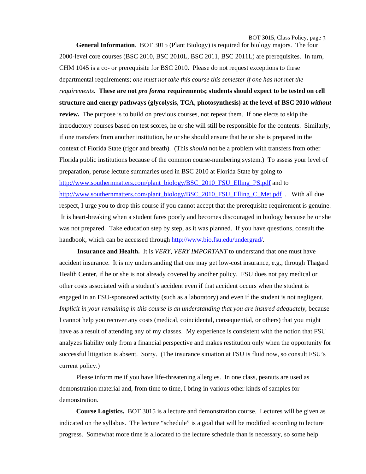**General Information**. BOT 3015 (Plant Biology) is required for biology majors. The four 2000-level core courses (BSC 2010, BSC 2010L, BSC 2011, BSC 2011L) are prerequisites. In turn, CHM 1045 is a co- or prerequisite for BSC 2010. Please do not request exceptions to these departmental requirements; *one must not take this course this semester if one has not met the requirements.* **These are not** *pro forma* **requirements; students should expect to be tested on cell structure and energy pathways (glycolysis, TCA, photosynthesis) at the level of BSC 2010** *without* **review.** The purpose is to build on previous courses, not repeat them. If one elects to skip the introductory courses based on test scores, he or she will still be responsible for the contents. Similarly, if one transfers from another institution, he or she should ensure that he or she is prepared in the context of Florida State (rigor and breath). (This *should* not be a problem with transfers from other Florida public institutions because of the common course-numbering system.) To assess your level of preparation, peruse lecture summaries used in BSC 2010 at Florida State by going to [http://www.southernmatters.com/plant\\_biology/BSC\\_2010\\_FSU\\_Elling\\_PS.pdf](http://www.southernmatters.com/plant_biology/BSC_2010_FSU_Elling_PS.pdf) and to [http://www.southernmatters.com/plant\\_biology/BSC\\_2010\\_FSU\\_Elling\\_C\\_Met.pdf](http://www.southernmatters.com/plant_biology/BSC_2010_FSU_Elling_C_Met.pdf) . With all due respect, I urge you to drop this course if you cannot accept that the prerequisite requirement is genuine. It is heart-breaking when a student fares poorly and becomes discouraged in biology because he or she was not prepared. Take education step by step, as it was planned. If you have questions, consult the handbook, which can be accessed through [http://www.bio.fsu.edu/undergrad/.](http://www.bio.fsu.edu/undergrad/)

**Insurance and Health.** It is *VERY, VERY IMPORTANT* to understand that one must have accident insurance. It is my understanding that one may get low-cost insurance, e.g., through Thagard Health Center, if he or she is not already covered by another policy. FSU does not pay medical or other costs associated with a student's accident even if that accident occurs when the student is engaged in an FSU-sponsored activity (such as a laboratory) and even if the student is not negligent. *Implicit in your remaining in this course is an understanding that you are insured adequately*, because I cannot help you recover any costs (medical, coincidental, consequential, or others) that you might have as a result of attending any of my classes. My experience is consistent with the notion that FSU analyzes liability only from a financial perspective and makes restitution only when the opportunity for successful litigation is absent. Sorry. (The insurance situation at FSU is fluid now, so consult FSU's current policy.)

Please inform me if you have life-threatening allergies. In one class, peanuts are used as demonstration material and, from time to time, I bring in various other kinds of samples for demonstration.

**Course Logistics.** BOT 3015 is a lecture and demonstration course. Lectures will be given as indicated on the syllabus. The lecture "schedule" is a goal that will be modified according to lecture progress. Somewhat more time is allocated to the lecture schedule than is necessary, so some help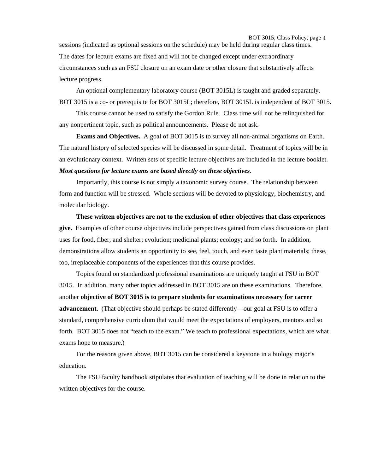sessions (indicated as optional sessions on the schedule) may be held during regular class times. The dates for lecture exams are fixed and will not be changed except under extraordinary circumstances such as an FSU closure on an exam date or other closure that substantively affects lecture progress.

An optional complementary laboratory course (BOT 3015L) is taught and graded separately. BOT 3015 is a co- or prerequisite for BOT 3015L; therefore, BOT 3015L is independent of BOT 3015.

This course cannot be used to satisfy the Gordon Rule. Class time will not be relinquished for any nonpertinent topic, such as political announcements. Please do not ask.

**Exams and Objectives.** A goal of BOT 3015 is to survey all non-animal organisms on Earth. The natural history of selected species will be discussed in some detail. Treatment of topics will be in an evolutionary context. Written sets of specific lecture objectives are included in the lecture booklet. *Most questions for lecture exams are based directly on these objectives.* 

Importantly, this course is not simply a taxonomic survey course. The relationship between form and function will be stressed. Whole sections will be devoted to physiology, biochemistry, and molecular biology.

**These written objectives are not to the exclusion of other objectives that class experiences give.** Examples of other course objectives include perspectives gained from class discussions on plant uses for food, fiber, and shelter; evolution; medicinal plants; ecology; and so forth. In addition, demonstrations allow students an opportunity to see, feel, touch, and even taste plant materials; these, too, irreplaceable components of the experiences that this course provides.

Topics found on standardized professional examinations are uniquely taught at FSU in BOT 3015. In addition, many other topics addressed in BOT 3015 are on these examinations. Therefore, another **objective of BOT 3015 is to prepare students for examinations necessary for career advancement.** (That objective should perhaps be stated differently—our goal at FSU is to offer a standard, comprehensive curriculum that would meet the expectations of employers, mentors and so forth. BOT 3015 does not "teach to the exam." We teach to professional expectations, which are what exams hope to measure.)

For the reasons given above, BOT 3015 can be considered a keystone in a biology major's education.

The FSU faculty handbook stipulates that evaluation of teaching will be done in relation to the written objectives for the course.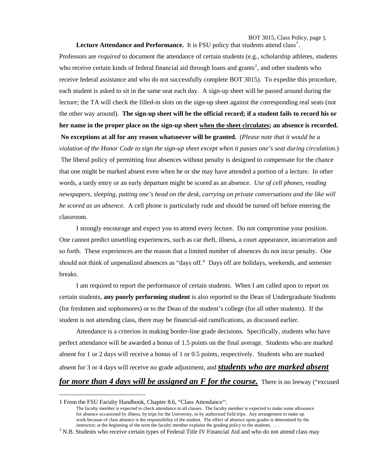## **Lecture Attendance and Performance.** It is FSU policy that students attend  $class<sup>1</sup>$  $class<sup>1</sup>$  $class<sup>1</sup>$ .

Professors are *required* to document the attendance of certain students (e.g., scholarship athletes, students who receive certain kinds of federal financial aid through loans and grants<sup>[2](#page-3-1)</sup>, and other students who receive federal assistance and who do not successfully complete BOT 3015). To expedite this procedure, each student is asked to sit in the same seat each day. A sign-up sheet will be passed around during the lecture; the TA will check the filled-in slots on the sign-up sheet against the corresponding real seats (not the other way around). **The sign-up sheet will be the official record; if a student fails to record his or her name in the proper place on the sign-up sheet when the sheet circulates; an absence is recorded. No exceptions at all for any reason whatsoever will be granted.** (*Please note that it would be a violation of the Honor Code to sign the sign-up sheet except when it passes one's seat during circulation.*) The liberal policy of permitting four absences without penalty is designed to compensate for the chance that one might be marked absent even when he or she may have attended a portion of a lecture. In other words, a tardy entry or an early departure might be scored as an absence. *Use of cell phones, reading newspapers, sleeping, putting one's head on the desk, carrying on private conversations and the like will be scored as an absence.* A cell phone is particularly rude and should be turned off before entering the classroom.

I strongly encourage and expect you to attend every lecture. Do not compromise your position. One cannot predict unsettling experiences, such as car theft, illness, a court appearance, incarceration and so forth. These experiences are the reason that a limited number of absences do not incur penalty. One should not think of unpenalized absences as "days off." Days off are holidays, weekends, and semester breaks.

I am required to report the performance of certain students. When I am called upon to report on certain students, **any poorly performing student** is also reported to the Dean of Undergraduate Students (for freshmen and sophomores) or to the Dean of the student's college (for all other students). If the student is not attending class, there may be financial-aid ramifications, as discussed earlier.

Attendance is a criterion in making border-line grade decisions. Specifically, students who have perfect attendance will be awarded a bonus of 1.5 points on the final average. Students who are marked absent for 1 or 2 days will receive a bonus of 1 or 0.5 points, respectively. Students who are marked absent for 3 or 4 days will receive no grade adjustment, and *students who are marked absent for more than 4 days will be assigned an F for the course.* There is no leeway ("excused")

 $\overline{\phantom{0}}$ 

The faculty member is expected to check attendance in all classes. The faculty member is expected to make some allowance for absence occasioned by illness, by trips for the University, or by authorized field trips. Any arrangement to make up work because of class absence is the responsibility of the student. The effect of absence upon grades is determined by the instructor; at the beginning of the term the faculty member explains the grading policy to the students. . . .

<span id="page-3-0"></span><sup>1</sup> From the FSU Faculty Handbook, Chapter 8.6, "Class Attendance":

<span id="page-3-1"></span> $2$  N.B. Students who receive certain types of Federal Title IV Financial Aid and who do not attend class may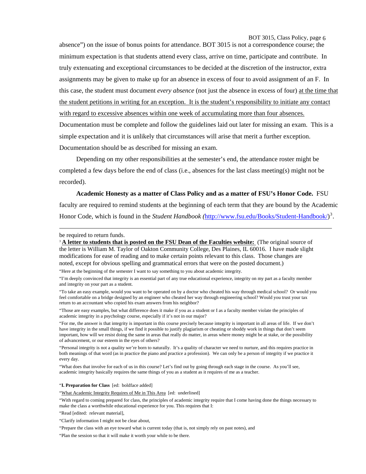absence") on the issue of bonus points for attendance. BOT 3015 is not a correspondence course; the minimum expectation is that students attend every class, arrive on time, participate and contribute. In truly extenuating and exceptional circumstances to be decided at the discretion of the instructor, extra assignments may be given to make up for an absence in excess of four to avoid assignment of an F. In this case, the student must document *every absence* (not just the absence in excess of four) at the time that the student petitions in writing for an exception. It is the student's responsibility to initiate any contact with regard to excessive absences within one week of accumulating more than four absences.

Documentation must be complete and follow the guidelines laid out later for missing an exam. This is a simple expectation and it is unlikely that circumstances will arise that merit a further exception. Documentation should be as described for missing an exam.

Depending on my other responsibilities at the semester's end, the attendance roster might be completed a few days before the end of class (i.e., absences for the last class meeting(s) might not be recorded).

**Academic Honesty as a matter of Class Policy and as a matter of FSU's Honor Code.** FSU faculty are required to remind students at the beginning of each term that they are bound by the Academic Honor Code, which is found in the *Student Handbook (*<http://www.fsu.edu/Books/Student-Handbook/>) [3](#page-4-0) .

be required to return funds.

i

"Here at the beginning of the semester I want to say something to you about academic integrity.

"Those are easy examples, but what difference does it make if you as a student or I as a faculty member violate the principles of academic integrity in a psychology course, especially if it's not in our major?

"For me, the answer is that integrity is important in this course precisely because integrity is important in all areas of life. If we don't have integrity in the small things, if we find it possible to justify plagiarism or cheating or shoddy work in things that don't seem important, how will we resist doing the same in areas that really do matter, in areas where money might be at stake, or the possibility of advancement, or our esteem in the eyes of others?

"Personal integrity is not a quality we're born to naturally. It's a quality of character we need to nurture, and this requires practice in both meanings of that word (as in practice the piano and practice a profession). We can only be a person of integrity if we practice it every day.

"What does that involve for each of us in this course? Let's find out by going through each stage in the course. As you'll see, academic integrity basically requires the same things of you as a student as it requires of me as a teacher.

### "**I. Preparation for Class** [ed: boldface added]

"What Academic Integrity Requires of Me in This Area [ed: underlined]

"With regard to coming prepared for class, the principles of academic integrity require that I come having done the things necessary to make the class a worthwhile educational experience for you. This requires that I:

"Read [edited: relevant material],

"Clarify information I might not be clear about,

"Prepare the class with an eye toward what is current today (that is, not simply rely on past notes), and

"Plan the session so that it will make it worth your while to be there.

<span id="page-4-0"></span><sup>&</sup>lt;sup>3</sup> **A letter to students that is posted on the FSU Dean of the Faculties website:** (The original source of the letter is William M. Taylor of Oakton Community College, Des Plaines, IL 60016. I have made slight modifications for ease of reading and to make certain points relevant to this class. Those changes are noted, except for obvious spelling and grammatical errors that were on the posted document.)

<sup>&</sup>quot;I'm deeply convinced that integrity is an essential part of any true educational experience, integrity on my part as a faculty member and integrity on your part as a student.

<sup>&</sup>quot;To take an easy example, would you want to be operated on by a doctor who cheated his way through medical school? Or would you feel comfortable on a bridge designed by an engineer who cheated her way through engineering school? Would you trust your tax return to an accountant who copied his exam answers from his neighbor?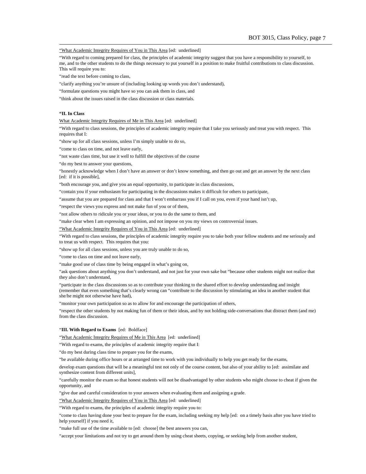"What Academic Integrity Requires of You in This Area [ed: underlined]

"With regard to coming prepared for class, the principles of academic integrity suggest that you have a responsibility to yourself, to me, and to the other students to do the things necessary to put yourself in a position to make fruitful contributions to class discussion. This will require you to:

"read the text before coming to class,

"clarify anything you're unsure of (including looking up words you don't understand),

"formulate questions you might have so you can ask them in class, and

"think about the issues raised in the class discussion or class materials.

### **"II. In Class**

#### What Academic Integrity Requires of Me in This Area [ed: underlined]

"With regard to class sessions, the principles of academic integrity require that I take you seriously and treat you with respect. This requires that I:

"show up for all class sessions, unless I'm simply unable to do so,

"come to class on time, and not leave early,

"not waste class time, but use it well to fulfill the objectives of the course

"do my best to answer your questions,

"honestly acknowledge when I don't have an answer or don't know something, and then go out and get an answer by the next class [ed: if it is possible],

"both encourage you, and give you an equal opportunity, to participate in class discussions,

"contain you if your enthusiasm for participating in the discussions makes it difficult for others to participate,

"assume that you are prepared for class and that I won't embarrass you if I call on you, even if your hand isn't up,

"respect the views you express and not make fun of you or of them,

"not allow others to ridicule you or your ideas, or you to do the same to them, and

"make clear when I am expressing an opinion, and not impose on you my views on controversial issues.

#### "What Academic Integrity Requires of You in This Area [ed: underlined]

"With regard to class sessions, the principles of academic integrity require you to take both your fellow students and me seriously and to treat us with respect. This requires that you:

"show up for all class sessions, unless you are truly unable to do so,

"come to class on time and not leave early,

"make good use of class time by being engaged in what's going on,

"ask questions about anything you don't understand, and not just for your own sake but "because other students might not realize that they also don't understand,

"participate in the class discussions so as to contribute your thinking to the shared effort to develop understanding and insight (remember that even something that's clearly wrong can "contribute to the discussion by stimulating an idea in another student that she/he might not otherwise have had),

"monitor your own participation so as to allow for and encourage the participation of others,

"respect the other students by not making fun of them or their ideas, and by not holding side-conversations that distract them (and me) from the class discussion.

#### "**III. With Regard to Exams** [ed: Boldface]

"What Academic Integrity Requires of Me in This Area [ed: underlined]

"With regard to exams, the principles of academic integrity require that I:

"do my best during class time to prepare you for the exams,

"be available during office hours or at arranged time to work with you individually to help you get ready for the exams,

develop exam questions that will be a meaningful test not only of the course content, but also of your ability to [ed: assimilate and synthesize content from different units],

"carefully monitor the exam so that honest students will not be disadvantaged by other students who might choose to cheat if given the opportunity, and

"give due and careful consideration to your answers when evaluating them and assigning a grade.

"What Academic Integrity Requires of You in This Area [ed: underlined]

"With regard to exams, the principles of academic integrity require you to:

"come to class having done your best to prepare for the exam, including seeking my help [ed: on a timely basis after you have tried to help yourself] if you need it,

"make full use of the time available to [ed: choose] the best answers you can,

"accept your limitations and not try to get around them by using cheat sheets, copying, or seeking help from another student,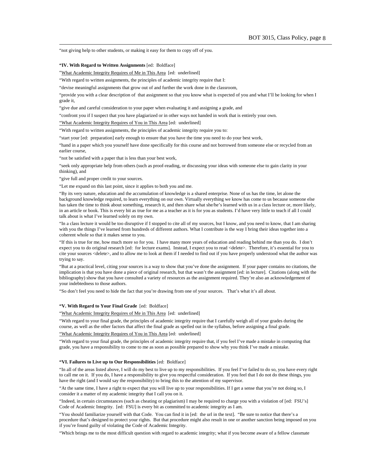"not giving help to other students, or making it easy for them to copy off of you.

### **"IV. With Regard to Written Assignments** [ed: Boldface]

"What Academic Integrity Requires of Me in This Area [ed: underlined]

"With regard to written assignments, the principles of academic integrity require that I:

"devise meaningful assignments that grow out of and further the work done in the classroom,

"provide you with a clear description of that assignment so that you know what is expected of you and what I'll be looking for when I grade it,

"give due and careful consideration to your paper when evaluating it and assigning a grade, and

"confront you if I suspect that you have plagiarized or in other ways not handed in work that is entirely your own.

"What Academic Integrity Requires of You in This Area [ed: underlined]

"With regard to written assignments, the principles of academic integrity require you to:

"start your [ed: preparation] early enough to ensure that you have the time you need to do your best work,

"hand in a paper which you yourself have done specifically for this course and not borrowed from someone else or recycled from an earlier course,

"not be satisfied with a paper that is less than your best work,

"seek only appropriate help from others (such as proof-reading, or discussing your ideas with someone else to gain clarity in your thinking), and

"give full and proper credit to your sources.

"Let me expand on this last point, since it applies to both you and me.

"By its very nature, education and the accumulation of knowledge is a shared enterprise. None of us has the time, let alone the background knowledge required, to learn everything on our own. Virtually everything we know has come to us because someone else has taken the time to think about something, research it, and then share what she/he's learned with us in a class lecture or, more likely, in an article or book. This is every bit as true for me as a teacher as it is for you as students. I'd have very little to teach if all I could talk about is what I've learned solely on my own.

"In a class lecture it would be too disruptive if I stopped to cite all of my sources, but I know, and you need to know, that I am sharing with you the things I've learned from hundreds of different authors. What I contribute is the way I bring their ideas together into a coherent whole so that it makes sense to you.

"If this is true for me, how much more so for you. I have many more years of education and reading behind me than you do. I don't expect you to do original research [ed: for lecture exams]. Instead, I expect you to read <delete>. Therefore, it's essential for you to cite your sources <delete>, and to allow me to look at them if I needed to find out if you have properly understood what the author was trying to say.

"But at a practical level, citing your sources is a way to show that you've done the assignment. If your paper contains no citations, the implication is that you have done a piece of original research, but that wasn't the assignment [ed: in lecture]. Citations (along with the bibliography) show that you have consulted a variety of resources as the assignment required. They're also an acknowledgement of your indebtedness to those authors.

"So don't feel you need to hide the fact that you're drawing from one of your sources. That's what it's all about.

#### **"V. With Regard to Your Final Grade** [ed: Boldface]

"What Academic Integrity Requires of Me in This Area [ed: underlined]

"With regard to your final grade, the principles of academic integrity require that I carefully weigh all of your grades during the course, as well as the other factors that affect the final grade as spelled out in the syllabus, before assigning a final grade.

#### "What Academic Integrity Requires of You in This Area [ed: underlined]

"With regard to your final grade, the principles of academic integrity require that, if you feel I've made a mistake in computing that grade, you have a responsibility to come to me as soon as possible prepared to show why you think I've made a mistake.

#### **"VI. Failures to Live up to Our Responsibilities** [ed: Boldface]

"In all of the areas listed above, I will do my best to live up to my responsibilities. If you feel I've failed to do so, you have every right to call me on it. If you do, I have a responsibility to give you respectful consideration. If you feel that I do not do these things, you have the right (and I would say the responsibility) to bring this to the attention of my supervisor.

"At the same time, I have a right to expect that you will live up to your responsibilities. If I get a sense that you're not doing so, I consider it a matter of my academic integrity that I call you on it.

"Indeed, in certain circumstances (such as cheating or plagiarism) I may be required to charge you with a violation of [ed: FSU's] Code of Academic Integrity. [ed: FSU] is every bit as committed to academic integrity as I am.

"You should familiarize yourself with that Code. You can find it in [ed: the url in the text]. "Be sure to notice that there's a procedure that's designed to protect your rights. But that procedure might also result in one or another sanction being imposed on you if you're found guilty of violating the Code of Academic Integrity.

"Which brings me to the most difficult question with regard to academic integrity; what if you become aware of a fellow classmate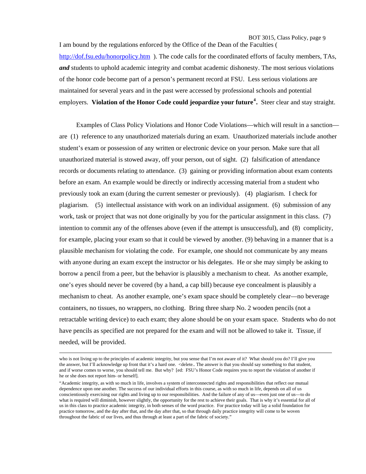I am bound by the regulations enforced by the Office of the Dean of the Faculties ( <http://dof.fsu.edu/honorpolicy.htm> ). The code calls for the coordinated efforts of faculty members, TAs, *and* students to uphold academic integrity and combat academic dishonesty. The most serious violations of the honor code become part of a person's permanent record at FSU. Less serious violations are maintained for several years and in the past were accessed by professional schools and potential employers. **Violation of the Honor Code could jeopardize your future[4](#page-7-0) .** Steer clear and stay straight.

Examples of Class Policy Violations and Honor Code Violations—which will result in a sanction are (1) reference to any unauthorized materials during an exam. Unauthorized materials include another student's exam or possession of any written or electronic device on your person. Make sure that all unauthorized material is stowed away, off your person, out of sight. (2) falsification of attendance records or documents relating to attendance. (3) gaining or providing information about exam contents before an exam. An example would be directly or indirectly accessing material from a student who previously took an exam (during the current semester or previously). (4) plagiarism. I check for plagiarism. (5) intellectual assistance with work on an individual assignment. (6) submission of any work, task or project that was not done originally by you for the particular assignment in this class. (7) intention to commit any of the offenses above (even if the attempt is unsuccessful), and (8) complicity, for example, placing your exam so that it could be viewed by another. (9) behaving in a manner that is a plausible mechanism for violating the code. For example, one should not communicate by any means with anyone during an exam except the instructor or his delegates. He or she may simply be asking to borrow a pencil from a peer, but the behavior is plausibly a mechanism to cheat. As another example, one's eyes should never be covered (by a hand, a cap bill) because eye concealment is plausibly a mechanism to cheat. As another example, one's exam space should be completely clear—no beverage containers, no tissues, no wrappers, no clothing. Bring three sharp No. 2 wooden pencils (not a retractable writing device) to each exam; they alone should be on your exam space. Students who do not have pencils as specified are not prepared for the exam and will not be allowed to take it. Tissue, if needed, will be provided.

i

who is not living up to the principles of academic integrity, but you sense that I'm not aware of it? What should you do? I'll give you the answer, but I'll acknowledge up front that it's a hard one. <delete.. The answer is that you should say something to that student, and if worse comes to worse, you should tell me. But why? [ed: FSU's Honor Code requires you to report the violation of another if he or she does not report him- or herself].

<span id="page-7-0"></span><sup>&</sup>quot;Academic integrity, as with so much in life, involves a system of interconnected rights and responsibilities that reflect our mutual dependence upon one another. The success of our individual efforts in this course, as with so much in life, depends on all of us conscientiously exercising our rights and living up to our responsibilities. And the failure of any of us—even just one of us—to do what is required will diminish, however slightly, the opportunity for the rest to achieve their goals. That is why it's essential for all of us in this class to practice academic integrity, in both senses of the word practice. For practice today will lay a solid foundation for practice tomorrow, and the day after that, and the day after that, so that through daily practice integrity will come to be woven throughout the fabric of our lives, and thus through at least a part of the fabric of society."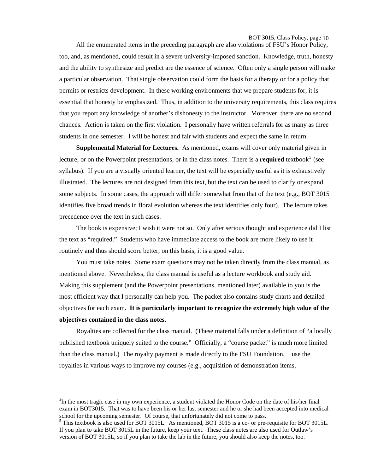All the enumerated items in the preceding paragraph are also violations of FSU's Honor Policy, too, and, as mentioned, could result in a severe university-imposed sanction. Knowledge, truth, honesty and the ability to synthesize and predict are the essence of science. Often only a single person will make a particular observation. That single observation could form the basis for a therapy or for a policy that permits or restricts development. In these working environments that we prepare students for, it is essential that honesty be emphasized. Thus, in addition to the university requirements, this class requires that you report any knowledge of another's dishonesty to the instructor. Moreover, there are no second chances. Action is taken on the first violation. I personally have written referrals for as many as three students in one semester. I will be honest and fair with students and expect the same in return.

**Supplemental Material for Lectures.** As mentioned, exams will cover only material given in lecture, or on the Powerpoint presentations, or in the class notes. There is a **required** textbook<sup>[5](#page-8-0)</sup> (see syllabus). If you are a visually oriented learner, the text will be especially useful as it is exhaustively illustrated. The lectures are not designed from this text, but the text can be used to clarify or expand some subjects. In some cases, the approach will differ somewhat from that of the text (e.g., BOT 3015 identifies five broad trends in floral evolution whereas the text identifies only four). The lecture takes precedence over the text in such cases.

The book is expensive; I wish it were not so. Only after serious thought and experience did I list the text as "required." Students who have immediate access to the book are more likely to use it routinely and thus should score better; on this basis, it is a good value.

You must take notes. Some exam questions may not be taken directly from the class manual, as mentioned above. Nevertheless, the class manual is useful as a lecture workbook and study aid. Making this supplement (and the Powerpoint presentations, mentioned later) available to you is the most efficient way that I personally can help you. The packet also contains study charts and detailed objectives for each exam. **It is particularly important to recognize the extremely high value of the objectives contained in the class notes.**

Royalties are collected for the class manual. (These material falls under a definition of "a locally published textbook uniquely suited to the course." Officially, a "course packet" is much more limited than the class manual.) The royalty payment is made directly to the FSU Foundation. I use the royalties in various ways to improve my courses (e.g., acquisition of demonstration items,

i

<sup>&</sup>lt;sup>4</sup>In the most tragic case in my own experience, a student violated the Honor Code on the date of his/her final exam in BOT3015. That was to have been his or her last semester and he or she had been accepted into medical school for the upcoming semester. Of course, that unfortunately did not come to pass.

<span id="page-8-0"></span><sup>&</sup>lt;sup>5</sup> This textbook is also used for BOT 3015L. As mentioned, BOT 3015 is a co- or pre-requisite for BOT 3015L. If you plan to take BOT 3015L in the future, keep your text. These class notes are also used for Outlaw's version of BOT 3015L, so if you plan to take the lab in the future, you should also keep the notes, too.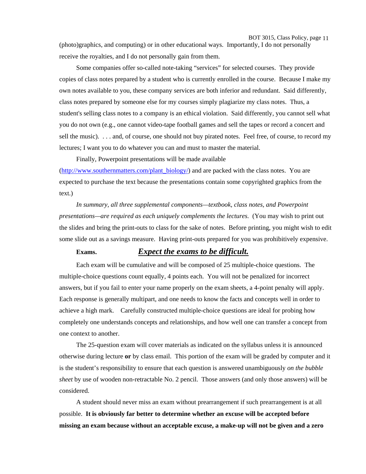(photo)graphics, and computing) or in other educational ways. Importantly, I do not personally receive the royalties, and I do not personally gain from them.

Some companies offer so-called note-taking "services" for selected courses. They provide copies of class notes prepared by a student who is currently enrolled in the course. Because I make my own notes available to you, these company services are both inferior and redundant. Said differently, class notes prepared by someone else for my courses simply plagiarize my class notes. Thus, a student's selling class notes to a company is an ethical violation. Said differently, you cannot sell what you do not own (e.g., one cannot video-tape football games and sell the tapes or record a concert and sell the music). . . . and, of course, one should not buy pirated notes. Feel free, of course, to record my lectures; I want you to do whatever you can and must to master the material.

Finally, Powerpoint presentations will be made available

([http://www.southernmatters.com/plant\\_biology/\)](http://www.southernmatters.com/plant_biology/) and are packed with the class notes. You are expected to purchase the text because the presentations contain some copyrighted graphics from the text.)

*In summary, all three supplemental components—textbook, class notes, and Powerpoint presentations—are required as each uniquely complements the lectures.* (You may wish to print out the slides and bring the print-outs to class for the sake of notes. Before printing, you might wish to edit some slide out as a savings measure. Having print-outs prepared for you was prohibitively expensive.

# **Exams.** *Expect the exams to be difficult.*

Each exam will be cumulative and will be composed of 25 multiple-choice questions. The multiple-choice questions count equally, 4 points each. You will not be penalized for incorrect answers, but if you fail to enter your name properly on the exam sheets, a 4-point penalty will apply. Each response is generally multipart, and one needs to know the facts and concepts well in order to achieve a high mark. Carefully constructed multiple-choice questions are ideal for probing how completely one understands concepts and relationships, and how well one can transfer a concept from one context to another.

The 25-question exam will cover materials as indicated on the syllabus unless it is announced otherwise during lecture **or** by class email. This portion of the exam will be graded by computer and it is the student's responsibility to ensure that each question is answered unambiguously *on the bubble sheet* by use of wooden non-retractable No. 2 pencil. Those answers (and only those answers) will be considered.

A student should never miss an exam without prearrangement if such prearrangement is at all possible. **It is obviously far better to determine whether an excuse will be accepted before missing an exam because without an acceptable excuse, a make-up will not be given and a zero**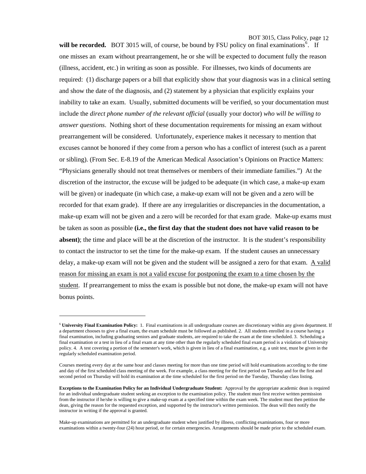will be recorded. BOT 3015 will, of course, be bound by FSU policy on final examinations<sup>[6](#page-10-0)</sup>. If one misses an exam without prearrangement, he or she will be expected to document fully the reason (illness, accident, etc.) in writing as soon as possible. For illnesses, two kinds of documents are required: (1) discharge papers or a bill that explicitly show that your diagnosis was in a clinical setting and show the date of the diagnosis, and (2) statement by a physician that explicitly explains your inability to take an exam. Usually, submitted documents will be verified, so your documentation must include the *direct phone number of the relevant official* (usually your doctor) *who will be willing to answer questions*. Nothing short of these documentation requirements for missing an exam without prearrangement will be considered. Unfortunately, experience makes it necessary to mention that excuses cannot be honored if they come from a person who has a conflict of interest (such as a parent or sibling). (From Sec. E-8.19 of the American Medical Association's Opinions on Practice Matters: "Physicians generally should not treat themselves or members of their immediate families.") At the discretion of the instructor, the excuse will be judged to be adequate (in which case, a make-up exam will be given) or inadequate (in which case, a make-up exam will not be given and a zero will be recorded for that exam grade). If there are any irregularities or discrepancies in the documentation, a make-up exam will not be given and a zero will be recorded for that exam grade. Make-up exams must be taken as soon as possible **(i.e., the first day that the student does not have valid reason to be absent**); the time and place will be at the discretion of the instructor. It is the student's responsibility to contact the instructor to set the time for the make-up exam. If the student causes an unnecessary delay, a make-up exam will not be given and the student will be assigned a zero for that exam. A valid reason for missing an exam is not a valid excuse for postponing the exam to a time chosen by the student. If prearrangement to miss the exam is possible but not done, the make-up exam will not have bonus points.

 $\overline{\phantom{0}}$ 

<span id="page-10-0"></span><sup>&</sup>lt;sup>6</sup> University Final Examination Policy: 1. Final examinations in all undergraduate courses are discretionary within any given department. If a department chooses to give a final exam, the exam schedule must be followed as published. 2. All students enrolled in a course having a final examination, including graduating seniors and graduate students, are required to take the exam at the time scheduled. 3. Scheduling a final examination or a test in lieu of a final exam at any time other than the regularly scheduled final exam period is a violation of University policy. 4. A test covering a portion of the semester's work, which is given in lieu of a final examination, e.g. a unit test, must be given in the regularly scheduled examination period.

Courses meeting every day at the same hour and classes meeting for more than one time period will hold examinations according to the time and day of the first scheduled class meeting of the week. For example, a class meeting for the first period on Tuesday and for the first and second period on Thursday will hold its examination at the time scheduled for the first period on the Tuesday, Thursday class listing.

**Exceptions to the Examination Policy for an Individual Undergraduate Student:** Approval by the appropriate academic dean is required for an individual undergraduate student seeking an exception to the examination policy. The student must first receive written permission from the instructor if he/she is willing to give a make-up exam at a specified time within the exam week. The student must then petition the dean, giving the reason for the requested exception, and supported by the instructor's written permission. The dean will then notify the instructor in writing if the approval is granted.

Make-up examinations are permitted for an undergraduate student when justified by illness, conflicting examinations, four or more examinations within a twenty-four (24) hour period, or for certain emergencies. Arrangements should be made prior to the scheduled exam.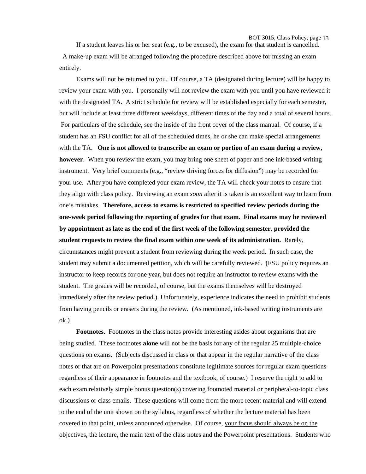If a student leaves his or her seat (e.g., to be excused), the exam for that student is cancelled. A make-up exam will be arranged following the procedure described above for missing an exam entirely.

Exams will not be returned to you. Of course, a TA (designated during lecture) will be happy to review your exam with you. I personally will not review the exam with you until you have reviewed it with the designated TA. A strict schedule for review will be established especially for each semester, but will include at least three different weekdays, different times of the day and a total of several hours. For particulars of the schedule, see the inside of the front cover of the class manual. Of course, if a student has an FSU conflict for all of the scheduled times, he or she can make special arrangements with the TA. **One is not allowed to transcribe an exam or portion of an exam during a review, however**. When you review the exam, you may bring one sheet of paper and one ink-based writing instrument. Very brief comments (e.g., "review driving forces for diffusion") may be recorded for your use. After you have completed your exam review, the TA will check your notes to ensure that they align with class policy. Reviewing an exam *soon* after it is taken is an excellent way to learn from one's mistakes. **Therefore, access to exams is restricted to specified review periods during the one-week period following the reporting of grades for that exam. Final exams may be reviewed by appointment as late as the end of the first week of the following semester, provided the student requests to review the final exam within one week of its administration.** Rarely, circumstances might prevent a student from reviewing during the week period. In such case, the student may submit a documented petition, which will be carefully reviewed. (FSU policy requires an instructor to keep records for one year, but does not require an instructor to review exams with the student. The grades will be recorded, of course, but the exams themselves will be destroyed immediately after the review period.) Unfortunately, experience indicates the need to prohibit students from having pencils or erasers during the review. (As mentioned, ink-based writing instruments are ok.)

**Footnotes.** Footnotes in the class notes provide interesting asides about organisms that are being studied. These footnotes **alone** will not be the basis for any of the regular 25 multiple-choice questions on exams. (Subjects discussed in class or that appear in the regular narrative of the class notes or that are on Powerpoint presentations constitute legitimate sources for regular exam questions regardless of their appearance in footnotes and the textbook, of course.) I reserve the right to add to each exam relatively simple bonus question(s) covering footnoted material or peripheral-to-topic class discussions or class emails. These questions will come from the more recent material and will extend to the end of the unit shown on the syllabus, regardless of whether the lecture material has been covered to that point, unless announced otherwise. Of course, your focus should always be on the objectives, the lecture, the main text of the class notes and the Powerpoint presentations. Students who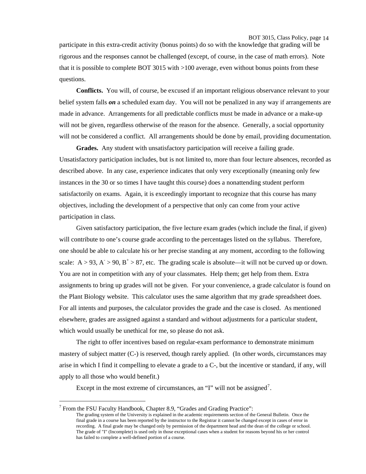participate in this extra-credit activity (bonus points) do so with the knowledge that grading will be rigorous and the responses cannot be challenged (except, of course, in the case of math errors). Note that it is possible to complete BOT 3015 with >100 average, even without bonus points from these questions.

**Conflicts.** You will, of course, be excused if an important religious observance relevant to your belief system falls *on* a scheduled exam day. You will not be penalized in any way if arrangements are made in advance. Arrangements for all predictable conflicts must be made in advance or a make-up will not be given, regardless otherwise of the reason for the absence. Generally, a social opportunity will not be considered a conflict. All arrangements should be done by email, providing documentation.

**Grades.** Any student with unsatisfactory participation will receive a failing grade. Unsatisfactory participation includes, but is not limited to, more than four lecture absences, recorded as described above. In any case, experience indicates that only very exceptionally (meaning only few instances in the 30 or so times I have taught this course) does a nonattending student perform satisfactorily on exams. Again, it is exceedingly important to recognize that this course has many objectives, including the development of a perspective that only can come from your active participation in class.

Given satisfactory participation, the five lecture exam grades (which include the final, if given) will contribute to one's course grade according to the percentages listed on the syllabus. Therefore, one should be able to calculate his or her precise standing at any moment, according to the following scale:  $A > 93$ ,  $A > 90$ ,  $B^+ > 87$ , etc. The grading scale is absolute—it will not be curved up or down. You are not in competition with any of your classmates. Help them; get help from them. Extra assignments to bring up grades will not be given. For your convenience, a grade calculator is found on the Plant Biology website. This calculator uses the same algorithm that my grade spreadsheet does. For all intents and purposes, the calculator provides the grade and the case is closed. As mentioned elsewhere, grades are assigned against a standard and without adjustments for a particular student, which would usually be unethical for me, so please do not ask.

The right to offer incentives based on regular-exam performance to demonstrate minimum mastery of subject matter (C-) is reserved, though rarely applied. (In other words, circumstances may arise in which I find it compelling to elevate a grade to a C-, but the incentive or standard, if any, will apply to all those who would benefit.)

Except in the most extreme of circumstances, an "I" will not be assigned<sup>[7](#page-12-0)</sup>.

 $\overline{\phantom{0}}$ 

<span id="page-12-0"></span> $7$  From the FSU Faculty Handbook, Chapter 8.9, "Grades and Grading Practice":

The grading system of the University is explained in the academic requirements section of the General Bulletin. Once the final grade in a course has been reported by the instructor to the Registrar it cannot be changed except in cases of error in recording. A final grade may be changed only by permission of the department head and the dean of the college or school. The grade of "I" (Incomplete) is used only in those exceptional cases when a student for reasons beyond his or her control has failed to complete a well-defined portion of a course.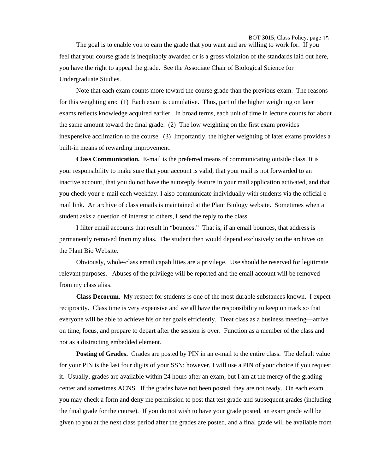The goal is to enable you to earn the grade that you want and are willing to work for. If you feel that your course grade is inequitably awarded or is a gross violation of the standards laid out here, you have the right to appeal the grade. See the Associate Chair of Biological Science for Undergraduate Studies.

Note that each exam counts more toward the course grade than the previous exam. The reasons for this weighting are: (1) Each exam is cumulative. Thus, part of the higher weighting on later exams reflects knowledge acquired earlier. In broad terms, each unit of time in lecture counts for about the same amount toward the final grade. (2) The low weighting on the first exam provides inexpensive acclimation to the course. (3) Importantly, the higher weighting of later exams provides a built-in means of rewarding improvement.

**Class Communication.** E-mail is the preferred means of communicating outside class. It is your responsibility to make sure that your account is valid, that your mail is not forwarded to an inactive account, that you do not have the autoreply feature in your mail application activated, and that you check your e-mail each weekday. I also communicate individually with students via the official email link. An archive of class emails is maintained at the Plant Biology website. Sometimes when a student asks a question of interest to others, I send the reply to the class.

I filter email accounts that result in "bounces." That is, if an email bounces, that address is permanently removed from my alias. The student then would depend exclusively on the archives on the Plant Bio Website.

Obviously, whole-class email capabilities are a privilege. Use should be reserved for legitimate relevant purposes. Abuses of the privilege will be reported and the email account will be removed from my class alias.

**Class Decorum.** My respect for students is one of the most durable substances known. I expect reciprocity. Class time is very expensive and we all have the responsibility to keep on track so that everyone will be able to achieve his or her goals efficiently. Treat class as a business meeting—arrive on time, focus, and prepare to depart after the session is over. Function as a member of the class and not as a distracting embedded element.

**Posting of Grades.** Grades are posted by PIN in an e-mail to the entire class. The default value for your PIN is the last four digits of your SSN; however, I will use a PIN of your choice if you request it. Usually, grades are available within 24 hours after an exam, but I am at the mercy of the grading center and sometimes ACNS. If the grades have not been posted, they are not ready. On each exam, you may check a form and deny me permission to post that test grade and subsequent grades (including the final grade for the course). If you do not wish to have your grade posted, an exam grade will be given to you at the next class period after the grades are posted, and a final grade will be available from

i

i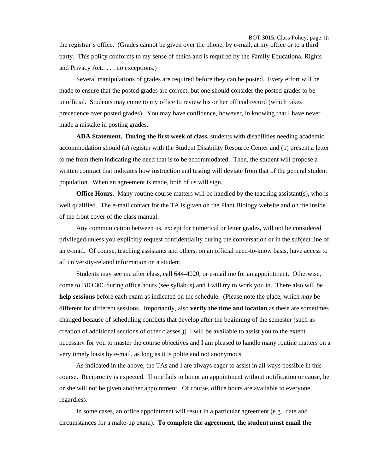the registrar's office. (Grades cannot be given over the phone, by e-mail, at my office or to a third party. This policy conforms to my sense of ethics and is required by the Family Educational Rights and Privacy Act. . . . no exceptions.)

Several manipulations of grades are required before they can be posted. Every effort will be made to ensure that the posted grades are correct, but one should consider the posted grades to be unofficial. Students may come to my office to review his or her official record (which takes precedence over posted grades). You may have confidence, however, in knowing that I have never made a mistake in posting grades.

**ADA Statement. During the first week of class,** students with disabilities needing academic accommodation should (a) register with the Student Disability Resource Center and (b) present a letter to me from them indicating the need that is to be accommodated. Then, the student will propose a written contract that indicates how instruction and testing will deviate from that of the general student population. When an agreement is made, both of us will sign.

**Office Hours.** Many routine course matters will be handled by the teaching assistant(s), who is well qualified. The e-mail contact for the TA is given on the Plant Biology website and on the inside of the front cover of the class manual.

Any communication between us, except for numerical or letter grades, will not be considered privileged unless you explicitly request confidentiality during the conversation or in the subject line of an e-mail. Of course, teaching assistants and others, on an official need-to-know basis, have access to all university-related information on a student.

Students may see me after class, call 644-4020, or e-mail me for an appointment. Otherwise, come to BIO 306 during office hours (see syllabus) and I will try to work you in. There also will be **help sessions** before each exam as indicated on the schedule. (Please note the place, which *may* be different for different sessions. Importantly, also **verify the time and location** as these are sometimes changed because of scheduling conflicts that develop after the beginning of the semester (such as creation of additional sections of other classes.)) I will be available to assist you to the extent necessary for you to master the course objectives and I am pleased to handle many routine matters on a very timely basis by e-mail, as long as it is polite and not anonymous.

As indicated in the above, the TAs and I are always eager to assist in all ways possible in this course. Reciprocity is expected. If one fails to honor an appointment without notification or cause, he or she will not be given another appointment. Of course, office hours are available to everyone, regardless.

In some cases, an office appointment will result in a particular agreement (e.g., date and circumstances for a make-up exam). **To complete the agreement, the student must email the**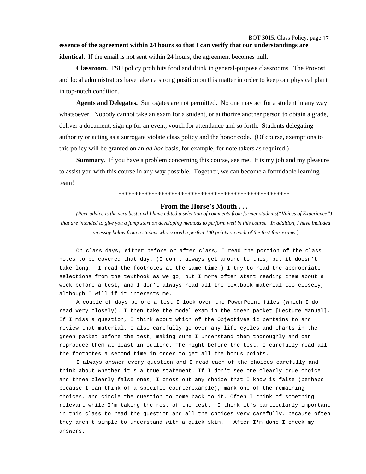## **essence of the agreement within 24 hours so that I can verify that our understandings are**

**identical**. If the email is not sent within 24 hours, the agreement becomes null.

**Classroom.** FSU policy prohibits food and drink in general-purpose classrooms. The Provost and local administrators have taken a strong position on this matter in order to keep our physical plant in top-notch condition.

**Agents and Delegates.** Surrogates are not permitted. No one may act for a student in any way whatsoever. Nobody cannot take an exam for a student, or authorize another person to obtain a grade, deliver a document, sign up for an event, vouch for attendance and so forth. Students delegating authority or acting as a surrogate violate class policy and the honor code. (Of course, exemptions to this policy will be granted on an *ad hoc* basis, for example, for note takers as required.)

**Summary**. If you have a problem concerning this course, see me. It is my job and my pleasure to assist you with this course in any way possible. Together, we can become a formidable learning team!

#### \*\*\*\*\*\*\*\*\*\*\*\*\*\*\*\*\*\*\*\*\*\*\*\*\*\*\*\*\*\*\*\*\*\*\*\*\*\*\*\*\*\*\*\*\*\*\*\*\*\*\*\*

### **From the Horse's Mouth . . .**

*(Peer advice is the very best, and I have edited a selection of comments from former students("Voices of Experience") that are intended to give you a jump start on developing methods to perform well in this course. In addition, I have included an essay below from a student who scored a perfect 100 points on each of the first four exams.)* 

On class days, either before or after class, I read the portion of the class notes to be covered that day. (I don't always get around to this, but it doesn't take long. I read the footnotes at the same time.) I try to read the appropriate selections from the textbook as we go, but I more often start reading them about a week before a test, and I don't always read all the textbook material too closely, although I will if it interests me.

A couple of days before a test I look over the PowerPoint files (which I do read very closely). I then take the model exam in the green packet [Lecture Manual]. If I miss a question, I think about which of the Objectives it pertains to and review that material. I also carefully go over any life cycles and charts in the green packet before the test, making sure I understand them thoroughly and can reproduce them at least in outline. The night before the test, I carefully read all the footnotes a second time in order to get all the bonus points.

I always answer every question and I read each of the choices carefully and think about whether it's a true statement. If I don't see one clearly true choice and three clearly false ones, I cross out any choice that I know is false (perhaps because I can think of a specific counterexample), mark one of the remaining choices, and circle the question to come back to it. Often I think of something relevant while I'm taking the rest of the test. I think it's particularly important in this class to read the question and all the choices very carefully, because often they aren't simple to understand with a quick skim. After I'm done I check my answers.